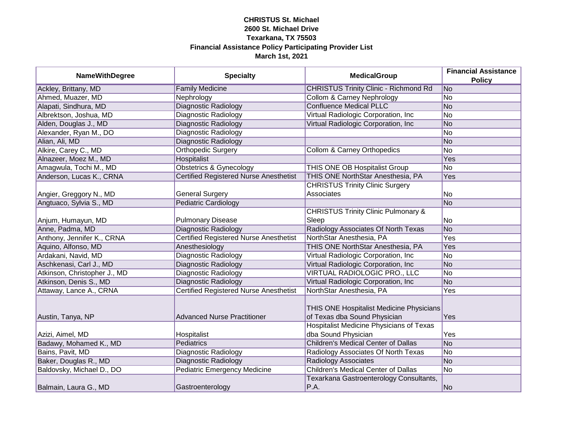| <b>NameWithDegree</b>        | <b>Specialty</b>                              | <b>MedicalGroup</b>                                                                                                         | <b>Financial Assistance</b><br><b>Policy</b> |
|------------------------------|-----------------------------------------------|-----------------------------------------------------------------------------------------------------------------------------|----------------------------------------------|
| Ackley, Brittany, MD         | <b>Family Medicine</b>                        | <b>CHRISTUS Trinity Clinic - Richmond Rd</b>                                                                                | No                                           |
| Ahmed, Muazer, MD            | Nephrology                                    | <b>Collom &amp; Carney Nephrology</b>                                                                                       | N <sub>O</sub>                               |
| Alapati, Sindhura, MD        | <b>Diagnostic Radiology</b>                   | <b>Confluence Medical PLLC</b>                                                                                              | No                                           |
| Albrektson, Joshua, MD       | Diagnostic Radiology                          | Virtual Radiologic Corporation, Inc.                                                                                        | N <sub>o</sub>                               |
| Alden, Douglas J., MD        | <b>Diagnostic Radiology</b>                   | Virtual Radiologic Corporation, Inc.                                                                                        | No                                           |
| Alexander, Ryan M., DO       | Diagnostic Radiology                          |                                                                                                                             | No                                           |
| Alian, Ali, MD               | Diagnostic Radiology                          |                                                                                                                             | No                                           |
| Alkire, Carey C., MD         | <b>Orthopedic Surgery</b>                     | Collom & Carney Orthopedics                                                                                                 | No                                           |
| Alnazeer, Moez M., MD        | Hospitalist                                   |                                                                                                                             | Yes                                          |
| Amagwula, Tochi M., MD       | <b>Obstetrics &amp; Gynecology</b>            | THIS ONE OB Hospitalist Group                                                                                               | $\overline{No}$                              |
| Anderson, Lucas K., CRNA     | <b>Certified Registered Nurse Anesthetist</b> | THIS ONE NorthStar Anesthesia, PA                                                                                           | Yes                                          |
|                              |                                               | <b>CHRISTUS Trinity Clinic Surgery</b>                                                                                      |                                              |
| Angier, Greggory N., MD      | <b>General Surgery</b>                        | Associates                                                                                                                  | No                                           |
| Angtuaco, Sylvia S., MD      | <b>Pediatric Cardiology</b>                   |                                                                                                                             | No                                           |
|                              |                                               | <b>CHRISTUS Trinity Clinic Pulmonary &amp;</b>                                                                              |                                              |
| Anjum, Humayun, MD           | <b>Pulmonary Disease</b>                      | Sleep                                                                                                                       | No                                           |
| Anne, Padma, MD              | Diagnostic Radiology                          | Radiology Associates Of North Texas                                                                                         | No                                           |
| Anthony, Jennifer K., CRNA   | <b>Certified Registered Nurse Anesthetist</b> | NorthStar Anesthesia, PA                                                                                                    | Yes                                          |
| Aquino, Alfonso, MD          | Anesthesiology                                | THIS ONE NorthStar Anesthesia, PA                                                                                           | Yes                                          |
| Ardakani, Navid, MD          | Diagnostic Radiology                          | Virtual Radiologic Corporation, Inc                                                                                         | No                                           |
| Aschkenasi, Carl J., MD      | Diagnostic Radiology                          | Virtual Radiologic Corporation, Inc                                                                                         | No                                           |
| Atkinson, Christopher J., MD | Diagnostic Radiology                          | VIRTUAL RADIOLOGIC PRO., LLC                                                                                                | No                                           |
| Atkinson, Denis S., MD       | Diagnostic Radiology                          | Virtual Radiologic Corporation, Inc.                                                                                        | <b>No</b>                                    |
| Attaway, Lance A., CRNA      | <b>Certified Registered Nurse Anesthetist</b> | NorthStar Anesthesia, PA                                                                                                    | Yes                                          |
| Austin, Tanya, NP            | <b>Advanced Nurse Practitioner</b>            | THIS ONE Hospitalist Medicine Physicians<br>of Texas dba Sound Physician<br><b>Hospitalist Medicine Physicians of Texas</b> | Yes                                          |
| Azizi, Aimel, MD             | Hospitalist                                   | dba Sound Physician                                                                                                         | Yes                                          |
| Badawy, Mohamed K., MD       | <b>Pediatrics</b>                             | <b>Children's Medical Center of Dallas</b>                                                                                  | No                                           |
| Bains, Pavit, MD             | <b>Diagnostic Radiology</b>                   | Radiology Associates Of North Texas                                                                                         | No                                           |
| Baker, Douglas R., MD        | Diagnostic Radiology                          | <b>Radiology Associates</b>                                                                                                 | No                                           |
| Baldovsky, Michael D., DO    | <b>Pediatric Emergency Medicine</b>           | <b>Children's Medical Center of Dallas</b>                                                                                  | No                                           |
| Balmain, Laura G., MD        | Gastroenterology                              | Texarkana Gastroenterology Consultants,<br>P.A.                                                                             | No                                           |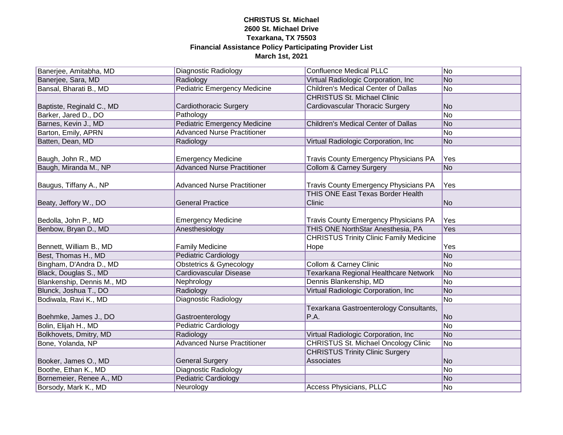| Banerjee, Amitabha, MD     | Diagnostic Radiology                | <b>Confluence Medical PLLC</b>                 | No             |
|----------------------------|-------------------------------------|------------------------------------------------|----------------|
| Banerjee, Sara, MD         | Radiology                           | Virtual Radiologic Corporation, Inc.           | No             |
| Bansal, Bharati B., MD     | <b>Pediatric Emergency Medicine</b> | <b>Children's Medical Center of Dallas</b>     | No             |
|                            |                                     | <b>CHRISTUS St. Michael Clinic</b>             |                |
| Baptiste, Reginald C., MD  | Cardiothoracic Surgery              | Cardiovascular Thoracic Surgery                | No             |
| Barker, Jared D., DO       | Pathology                           |                                                | <b>No</b>      |
| Barnes, Kevin J., MD       | <b>Pediatric Emergency Medicine</b> | <b>Children's Medical Center of Dallas</b>     | No             |
| Barton, Emily, APRN        | <b>Advanced Nurse Practitioner</b>  |                                                | No             |
| Batten, Dean, MD           | Radiology                           | Virtual Radiologic Corporation, Inc            | No             |
|                            |                                     |                                                |                |
| Baugh, John R., MD         | <b>Emergency Medicine</b>           | <b>Travis County Emergency Physicians PA</b>   | Yes            |
| Baugh, Miranda M., NP      | <b>Advanced Nurse Practitioner</b>  | Collom & Carney Surgery                        | No             |
|                            |                                     |                                                |                |
| Baugus, Tiffany A., NP     | <b>Advanced Nurse Practitioner</b>  | <b>Travis County Emergency Physicians PA</b>   | Yes            |
|                            |                                     | <b>THIS ONE East Texas Border Health</b>       |                |
| Beaty, Jeffory W., DO      | <b>General Practice</b>             | Clinic                                         | No             |
|                            |                                     |                                                |                |
| Bedolla, John P., MD       | <b>Emergency Medicine</b>           | <b>Travis County Emergency Physicians PA</b>   | Yes            |
| Benbow, Bryan D., MD       | Anesthesiology                      | THIS ONE NorthStar Anesthesia, PA              | Yes            |
|                            |                                     | <b>CHRISTUS Trinity Clinic Family Medicine</b> |                |
| Bennett, William B., MD    | <b>Family Medicine</b>              | Hope                                           | Yes            |
| Best, Thomas H., MD        | <b>Pediatric Cardiology</b>         |                                                | No             |
| Bingham, D'Andra D., MD    | <b>Obstetrics &amp; Gynecology</b>  | <b>Collom &amp; Carney Clinic</b>              | No             |
| Black, Douglas S., MD      | Cardiovascular Disease              | Texarkana Regional Healthcare Network          | No             |
| Blankenship, Dennis M., MD | Nephrology                          | Dennis Blankenship, MD                         | No             |
| Blunck, Joshua T., DO      | Radiology                           | Virtual Radiologic Corporation, Inc.           | No             |
| Bodiwala, Ravi K., MD      | <b>Diagnostic Radiology</b>         |                                                | No             |
|                            |                                     | Texarkana Gastroenterology Consultants,        |                |
| Boehmke, James J., DO      | Gastroenterology                    | P.A.                                           | N <sub>o</sub> |
| Bolin, Elijah H., MD       | <b>Pediatric Cardiology</b>         |                                                | <b>No</b>      |
| Bolkhovets, Dmitry, MD     | Radiology                           | Virtual Radiologic Corporation, Inc            | No             |
| Bone, Yolanda, NP          | <b>Advanced Nurse Practitioner</b>  | <b>CHRISTUS St. Michael Oncology Clinic</b>    | No             |
|                            |                                     | <b>CHRISTUS Trinity Clinic Surgery</b>         |                |
| Booker, James O., MD       | <b>General Surgery</b>              | Associates                                     | No             |
| Boothe, Ethan K., MD       | Diagnostic Radiology                |                                                | <b>No</b>      |
| Bornemeier, Renee A., MD   | <b>Pediatric Cardiology</b>         |                                                | No             |
| Borsody, Mark K., MD       | Neurology                           | <b>Access Physicians, PLLC</b>                 | <b>No</b>      |
|                            |                                     |                                                |                |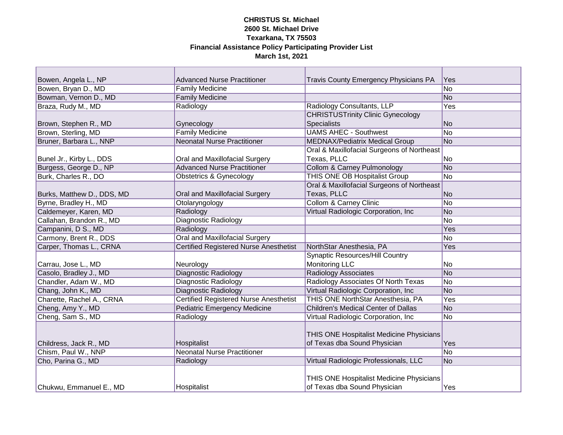| Bowen, Angela L., NP       | <b>Advanced Nurse Practitioner</b>            | <b>Travis County Emergency Physicians PA</b>    | Yes |
|----------------------------|-----------------------------------------------|-------------------------------------------------|-----|
| Bowen, Bryan D., MD        | <b>Family Medicine</b>                        |                                                 | No  |
| Bowman, Vernon D., MD      | <b>Family Medicine</b>                        |                                                 | No  |
| Braza, Rudy M., MD         | Radiology                                     | Radiology Consultants, LLP                      | Yes |
|                            |                                               | <b>CHRISTUSTrinity Clinic Gynecology</b>        |     |
| Brown, Stephen R., MD      | Gynecology                                    | <b>Specialists</b>                              | No  |
| Brown, Sterling, MD        | <b>Family Medicine</b>                        | <b>UAMS AHEC - Southwest</b>                    | No  |
| Bruner, Barbara L., NNP    | <b>Neonatal Nurse Practitioner</b>            | <b>MEDNAX/Pediatrix Medical Group</b>           | No  |
|                            |                                               | Oral & Maxillofacial Surgeons of Northeast      |     |
| Bunel Jr., Kirby L., DDS   | Oral and Maxillofacial Surgery                | Texas, PLLC                                     | No  |
| Burgess, George D., NP     | <b>Advanced Nurse Practitioner</b>            | <b>Collom &amp; Carney Pulmonology</b>          | No  |
| Burk, Charles R., DO       | <b>Obstetrics &amp; Gynecology</b>            | THIS ONE OB Hospitalist Group                   | No  |
|                            |                                               | Oral & Maxillofacial Surgeons of Northeast      |     |
| Burks, Matthew D., DDS, MD | Oral and Maxillofacial Surgery                | Texas, PLLC                                     | No  |
| Byrne, Bradley H., MD      | Otolaryngology                                | <b>Collom &amp; Carney Clinic</b>               | No  |
| Caldemeyer, Karen, MD      | Radiology                                     | Virtual Radiologic Corporation, Inc             | No  |
| Callahan, Brandon R., MD   | Diagnostic Radiology                          |                                                 | No  |
| Campanini, D S., MD        | Radiology                                     |                                                 | Yes |
| Carmony, Brent R., DDS     | <b>Oral and Maxillofacial Surgery</b>         |                                                 | No  |
| Carper, Thomas L., CRNA    | <b>Certified Registered Nurse Anesthetist</b> | NorthStar Anesthesia, PA                        | Yes |
|                            |                                               | <b>Synaptic Resources/Hill Country</b>          |     |
| Carrau, Jose L., MD        | Neurology                                     | <b>Monitoring LLC</b>                           | No  |
| Casolo, Bradley J., MD     | Diagnostic Radiology                          | <b>Radiology Associates</b>                     | No  |
| Chandler, Adam W., MD      | Diagnostic Radiology                          | Radiology Associates Of North Texas             | No  |
| Chang, John K., MD         | <b>Diagnostic Radiology</b>                   | Virtual Radiologic Corporation, Inc             | No  |
| Charette, Rachel A., CRNA  | <b>Certified Registered Nurse Anesthetist</b> | THIS ONE NorthStar Anesthesia, PA               | Yes |
| Cheng, Amy Y., MD          | <b>Pediatric Emergency Medicine</b>           | Children's Medical Center of Dallas             | No  |
| Cheng, Sam S., MD          | Radiology                                     | Virtual Radiologic Corporation, Inc             | No  |
|                            |                                               |                                                 |     |
|                            |                                               | THIS ONE Hospitalist Medicine Physicians        |     |
| Childress, Jack R., MD     | Hospitalist                                   | of Texas dba Sound Physician                    | Yes |
| Chism, Paul W., NNP        | <b>Neonatal Nurse Practitioner</b>            |                                                 | No  |
| Cho, Parina G., MD         | Radiology                                     | Virtual Radiologic Professionals, LLC           | No  |
|                            |                                               |                                                 |     |
|                            |                                               | <b>THIS ONE Hospitalist Medicine Physicians</b> |     |
| Chukwu, Emmanuel E., MD    | Hospitalist                                   | of Texas dba Sound Physician                    | Yes |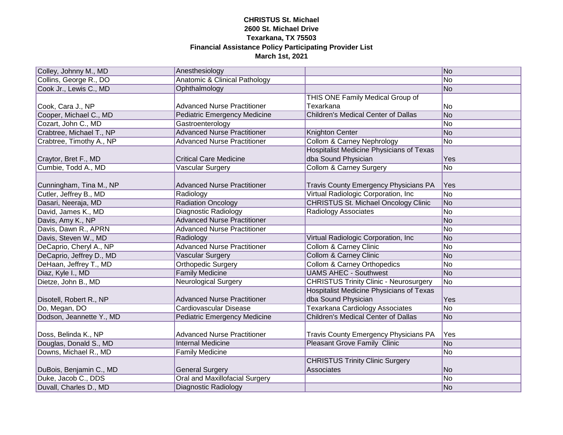| Colley, Johnny M., MD                       | Anesthesiology                           |                                                 | No                       |
|---------------------------------------------|------------------------------------------|-------------------------------------------------|--------------------------|
| Collins, George R., DO                      | <b>Anatomic &amp; Clinical Pathology</b> |                                                 | <b>No</b>                |
| Cook Jr., Lewis C., MD                      | Ophthalmology                            |                                                 | <b>No</b>                |
|                                             |                                          | THIS ONE Family Medical Group of                |                          |
| Cook, Cara J., NP                           | <b>Advanced Nurse Practitioner</b>       | Texarkana                                       | No                       |
| Cooper, Michael C., MD                      | <b>Pediatric Emergency Medicine</b>      | <b>Children's Medical Center of Dallas</b>      | <b>No</b>                |
| Cozart, John C., MD                         | Gastroenterology                         |                                                 | No                       |
| Crabtree, Michael T., NP                    | <b>Advanced Nurse Practitioner</b>       | Knighton Center                                 | N <sub>o</sub>           |
| Crabtree, Timothy A., NP                    | <b>Advanced Nurse Practitioner</b>       | <b>Collom &amp; Carney Nephrology</b>           | No                       |
|                                             |                                          | <b>Hospitalist Medicine Physicians of Texas</b> | Yes                      |
| Craytor, Bret F., MD<br>Cumbie, Todd A., MD | <b>Critical Care Medicine</b>            | dba Sound Physician                             | No                       |
|                                             | <b>Vascular Surgery</b>                  | <b>Collom &amp; Carney Surgery</b>              |                          |
| Cunningham, Tina M., NP                     | <b>Advanced Nurse Practitioner</b>       | Travis County Emergency Physicians PA           | <b>Yes</b>               |
| Cutler, Jeffrey B., MD                      | Radiology                                | Virtual Radiologic Corporation, Inc.            | $\overline{\mathsf{No}}$ |
| Dasari, Neeraja, MD                         | <b>Radiation Oncology</b>                | <b>CHRISTUS St. Michael Oncology Clinic</b>     | No                       |
| David, James K., MD                         | Diagnostic Radiology                     | <b>Radiology Associates</b>                     | No                       |
| Davis, Amy K., NP                           | <b>Advanced Nurse Practitioner</b>       |                                                 | No                       |
| Davis, Dawn R., APRN                        | <b>Advanced Nurse Practitioner</b>       |                                                 | No                       |
| Davis, Steven W., MD                        | Radiology                                | Virtual Radiologic Corporation, Inc             | No                       |
| DeCaprio, Cheryl A., NP                     | <b>Advanced Nurse Practitioner</b>       | <b>Collom &amp; Carney Clinic</b>               | No                       |
| DeCaprio, Jeffrey D., MD                    | <b>Vascular Surgery</b>                  | <b>Collom &amp; Carney Clinic</b>               | No                       |
| DeHaan, Jeffrey T., MD                      | <b>Orthopedic Surgery</b>                | <b>Collom &amp; Carney Orthopedics</b>          | No                       |
| Diaz, Kyle I., MD                           | <b>Family Medicine</b>                   | <b>UAMS AHEC - Southwest</b>                    | <b>No</b>                |
| Dietze, John B., MD                         | <b>Neurological Surgery</b>              | <b>CHRISTUS Trinity Clinic - Neurosurgery</b>   | No                       |
|                                             |                                          | <b>Hospitalist Medicine Physicians of Texas</b> |                          |
| Disotell, Robert R., NP                     | <b>Advanced Nurse Practitioner</b>       | dba Sound Physician                             | Yes                      |
| Do, Megan, DO                               | Cardiovascular Disease                   | <b>Texarkana Cardiology Associates</b>          | No                       |
| Dodson, Jeannette Y., MD                    | <b>Pediatric Emergency Medicine</b>      | <b>Children's Medical Center of Dallas</b>      | No                       |
|                                             |                                          |                                                 |                          |
| Doss, Belinda K., NP                        | <b>Advanced Nurse Practitioner</b>       | Travis County Emergency Physicians PA           | Yes                      |
| Douglas, Donald S., MD                      | <b>Internal Medicine</b>                 | <b>Pleasant Grove Family Clinic</b>             | No                       |
| Downs, Michael R., MD                       | <b>Family Medicine</b>                   |                                                 | <b>No</b>                |
|                                             |                                          | <b>CHRISTUS Trinity Clinic Surgery</b>          |                          |
| DuBois, Benjamin C., MD                     | <b>General Surgery</b>                   | Associates                                      | <b>No</b>                |
| Duke, Jacob C., DDS                         | <b>Oral and Maxillofacial Surgery</b>    |                                                 | <b>No</b>                |
| Duvall, Charles D., MD                      | Diagnostic Radiology                     |                                                 | <b>No</b>                |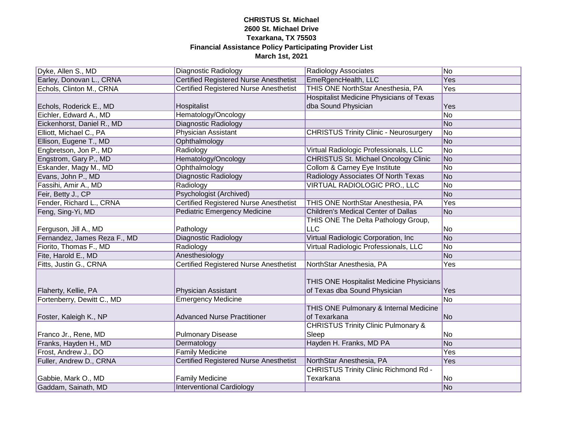| Dyke, Allen S., MD           | <b>Diagnostic Radiology</b>                   | <b>Radiology Associates</b>                                              | No  |
|------------------------------|-----------------------------------------------|--------------------------------------------------------------------------|-----|
| Earley, Donovan L., CRNA     | <b>Certified Registered Nurse Anesthetist</b> | EmeRgencHealth, LLC                                                      | Yes |
| Echols, Clinton M., CRNA     | <b>Certified Registered Nurse Anesthetist</b> | THIS ONE NorthStar Anesthesia, PA                                        | Yes |
| Echols, Roderick E., MD      | Hospitalist                                   | <b>Hospitalist Medicine Physicians of Texas</b><br>dba Sound Physician   | Yes |
| Eichler, Edward A., MD       | Hematology/Oncology                           |                                                                          | No  |
| Eickenhorst, Daniel R., MD   | Diagnostic Radiology                          |                                                                          | No  |
| Elliott, Michael C., PA      | Physician Assistant                           | <b>CHRISTUS Trinity Clinic - Neurosurgery</b>                            | No  |
| Ellison, Eugene T., MD       | Ophthalmology                                 |                                                                          | No  |
| Engbretson, Jon P., MD       | Radiology                                     | Virtual Radiologic Professionals, LLC                                    | No  |
| Engstrom, Gary P., MD        | Hematology/Oncology                           | <b>CHRISTUS St. Michael Oncology Clinic</b>                              | No  |
| Eskander, Magy M., MD        | Ophthalmology                                 | Collom & Carney Eye Institute                                            | No  |
| Evans, John P., MD           | Diagnostic Radiology                          | Radiology Associates Of North Texas                                      | No  |
| Fassihi, Amir A., MD         | Radiology                                     | VIRTUAL RADIOLOGIC PRO., LLC                                             | No  |
| Feir, Betty J., CP           | <b>Psychologist (Archived)</b>                |                                                                          | No  |
| Fender, Richard L., CRNA     | <b>Certified Registered Nurse Anesthetist</b> | THIS ONE NorthStar Anesthesia, PA                                        | Yes |
| Feng, Sing-Yi, MD            | <b>Pediatric Emergency Medicine</b>           | <b>Children's Medical Center of Dallas</b>                               | No  |
| Ferguson, Jill A., MD        | Pathology                                     | THIS ONE The Delta Pathology Group,<br><b>LLC</b>                        | No  |
| Fernandez, James Reza F., MD | <b>Diagnostic Radiology</b>                   | Virtual Radiologic Corporation, Inc.                                     | No  |
| Fiorito, Thomas F., MD       | Radiology                                     | Virtual Radiologic Professionals, LLC                                    | No  |
| Fite, Harold E., MD          | Anesthesiology                                |                                                                          | No  |
| Fitts, Justin G., CRNA       | <b>Certified Registered Nurse Anesthetist</b> | NorthStar Anesthesia, PA                                                 | Yes |
| Flaherty, Kellie, PA         | Physician Assistant                           | THIS ONE Hospitalist Medicine Physicians<br>of Texas dba Sound Physician | Yes |
| Fortenberry, Dewitt C., MD   | <b>Emergency Medicine</b>                     |                                                                          | No  |
| Foster, Kaleigh K., NP       | <b>Advanced Nurse Practitioner</b>            | THIS ONE Pulmonary & Internal Medicine<br>of Texarkana                   | No  |
|                              |                                               | <b>CHRISTUS Trinity Clinic Pulmonary &amp;</b>                           |     |
| Franco Jr., Rene, MD         | <b>Pulmonary Disease</b>                      | Sleep                                                                    | No. |
| Franks, Hayden H., MD        | Dermatology                                   | Hayden H. Franks, MD PA                                                  | No  |
| Frost, Andrew J., DO         | <b>Family Medicine</b>                        |                                                                          | Yes |
| Fuller, Andrew D., CRNA      | <b>Certified Registered Nurse Anesthetist</b> | NorthStar Anesthesia, PA                                                 | Yes |
| Gabbie, Mark O., MD          | <b>Family Medicine</b>                        | <b>CHRISTUS Trinity Clinic Richmond Rd -</b><br>Texarkana                | No  |
| Gaddam, Sainath, MD          | <b>Interventional Cardiology</b>              |                                                                          | No  |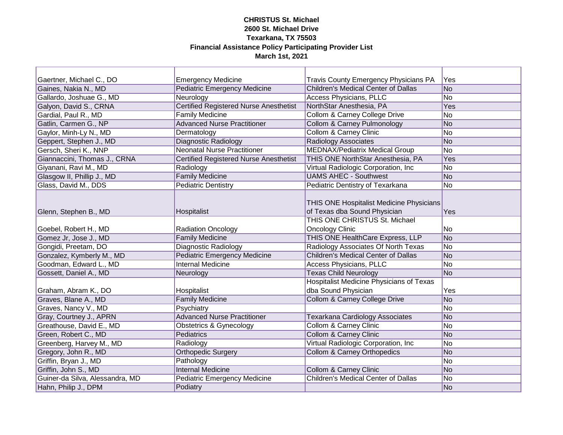| Gaertner, Michael C., DO        | <b>Emergency Medicine</b>                     | <b>Travis County Emergency Physicians PA</b>                             | Yes       |
|---------------------------------|-----------------------------------------------|--------------------------------------------------------------------------|-----------|
| Gaines, Nakia N., MD            | <b>Pediatric Emergency Medicine</b>           | <b>Children's Medical Center of Dallas</b>                               | No        |
| Gallardo, Joshuae G., MD        | Neurology                                     | <b>Access Physicians, PLLC</b>                                           | No        |
| Galyon, David S., CRNA          | <b>Certified Registered Nurse Anesthetist</b> | NorthStar Anesthesia, PA                                                 | Yes       |
| Gardial, Paul R., MD            | <b>Family Medicine</b>                        | <b>Collom &amp; Carney College Drive</b>                                 | No        |
| Gatlin, Carmen G., NP           | <b>Advanced Nurse Practitioner</b>            | <b>Collom &amp; Carney Pulmonology</b>                                   | No        |
| Gaylor, Minh-Ly N., MD          | Dermatology                                   | <b>Collom &amp; Carney Clinic</b>                                        | No        |
| Geppert, Stephen J., MD         | Diagnostic Radiology                          | Radiology Associates                                                     | No        |
| Gersch, Sheri K., NNP           | <b>Neonatal Nurse Practitioner</b>            | <b>MEDNAX/Pediatrix Medical Group</b>                                    | No        |
| Giannaccini, Thomas J., CRNA    | <b>Certified Registered Nurse Anesthetist</b> | THIS ONE NorthStar Anesthesia, PA                                        | Yes       |
| Giyanani, Ravi M., MD           | Radiology                                     | Virtual Radiologic Corporation, Inc                                      | No        |
| Glasgow II, Phillip J., MD      | <b>Family Medicine</b>                        | <b>UAMS AHEC - Southwest</b>                                             | No        |
| Glass, David M., DDS            | <b>Pediatric Dentistry</b>                    | Pediatric Dentistry of Texarkana                                         | No        |
| Glenn, Stephen B., MD           | Hospitalist                                   | THIS ONE Hospitalist Medicine Physicians<br>of Texas dba Sound Physician | Yes       |
|                                 |                                               | THIS ONE CHRISTUS St. Michael                                            |           |
| Goebel, Robert H., MD           | <b>Radiation Oncology</b>                     | <b>Oncology Clinic</b>                                                   | No        |
| Gomez Jr, Jose J., MD           | <b>Family Medicine</b>                        | THIS ONE HealthCare Express, LLP                                         | No        |
| Gongidi, Preetam, DO            | <b>Diagnostic Radiology</b>                   | Radiology Associates Of North Texas                                      | No        |
| Gonzalez, Kymberly M., MD       | <b>Pediatric Emergency Medicine</b>           | <b>Children's Medical Center of Dallas</b>                               | No        |
| Goodman, Edward L., MD          | <b>Internal Medicine</b>                      | <b>Access Physicians, PLLC</b>                                           | No        |
| Gossett, Daniel A., MD          | Neurology                                     | <b>Texas Child Neurology</b>                                             | No        |
| Graham, Abram K., DO            | Hospitalist                                   | <b>Hospitalist Medicine Physicians of Texas</b><br>dba Sound Physician   | Yes       |
| Graves, Blane A., MD            | <b>Family Medicine</b>                        | <b>Collom &amp; Carney College Drive</b>                                 | No        |
| Graves, Nancy V., MD            | Psychiatry                                    |                                                                          | No        |
| Gray, Courtney J., APRN         | <b>Advanced Nurse Practitioner</b>            | Texarkana Cardiology Associates                                          | <b>No</b> |
| Greathouse, David E., MD        | <b>Obstetrics &amp; Gynecology</b>            | <b>Collom &amp; Carney Clinic</b>                                        | No        |
| Green, Robert C., MD            | Pediatrics                                    | <b>Collom &amp; Carney Clinic</b>                                        | No        |
| Greenberg, Harvey M., MD        | Radiology                                     | Virtual Radiologic Corporation, Inc                                      | No        |
| Gregory, John R., MD            | <b>Orthopedic Surgery</b>                     | Collom & Carney Orthopedics                                              | No        |
| Griffin, Bryan J., MD           | Pathology                                     |                                                                          | No        |
| Griffin, John S., MD            | <b>Internal Medicine</b>                      | <b>Collom &amp; Carney Clinic</b>                                        | No        |
| Guiner-da Silva, Alessandra, MD | <b>Pediatric Emergency Medicine</b>           | <b>Children's Medical Center of Dallas</b>                               | No        |
| Hahn, Philip J., DPM            | Podiatry                                      |                                                                          | No        |
|                                 |                                               |                                                                          |           |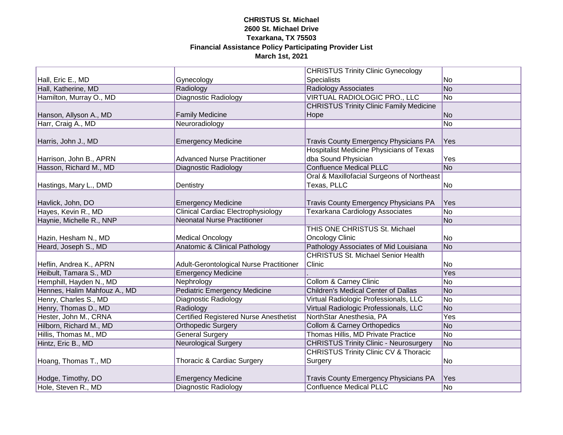|                              |                                               | <b>CHRISTUS Trinity Clinic Gynecology</b>        |                |
|------------------------------|-----------------------------------------------|--------------------------------------------------|----------------|
| Hall, Eric E., MD            | Gynecology                                    | <b>Specialists</b>                               | No             |
| Hall, Katherine, MD          | Radiology                                     | <b>Radiology Associates</b>                      | No             |
| Hamilton, Murray O., MD      | Diagnostic Radiology                          | VIRTUAL RADIOLOGIC PRO., LLC                     | No             |
|                              |                                               | <b>CHRISTUS Trinity Clinic Family Medicine</b>   |                |
| Hanson, Allyson A., MD       | <b>Family Medicine</b>                        | Hope                                             | No             |
| Harr, Craig A., MD           | Neuroradiology                                |                                                  | No             |
|                              |                                               |                                                  |                |
| Harris, John J., MD          | <b>Emergency Medicine</b>                     | <b>Travis County Emergency Physicians PA</b>     | Yes            |
|                              |                                               | Hospitalist Medicine Physicians of Texas         |                |
| Harrison, John B., APRN      | <b>Advanced Nurse Practitioner</b>            | dba Sound Physician                              | Yes            |
| Hasson, Richard M., MD       | Diagnostic Radiology                          | <b>Confluence Medical PLLC</b>                   | No             |
|                              |                                               | Oral & Maxillofacial Surgeons of Northeast       |                |
| Hastings, Mary L., DMD       | Dentistry                                     | Texas, PLLC                                      | No             |
|                              |                                               |                                                  |                |
| Havlick, John, DO            | <b>Emergency Medicine</b>                     | <b>Travis County Emergency Physicians PA</b>     | Yes            |
| Hayes, Kevin R., MD          | <b>Clinical Cardiac Electrophysiology</b>     | <b>Texarkana Cardiology Associates</b>           | No             |
| Haynie, Michelle R., NNP     | <b>Neonatal Nurse Practitioner</b>            |                                                  | No             |
|                              |                                               | THIS ONE CHRISTUS St. Michael                    |                |
| Hazin, Hesham N., MD         | <b>Medical Oncology</b>                       | <b>Oncology Clinic</b>                           | No             |
| Heard, Joseph S., MD         | <b>Anatomic &amp; Clinical Pathology</b>      | Pathology Associates of Mid Louisiana            | No             |
|                              |                                               | <b>CHRISTUS St. Michael Senior Health</b>        |                |
| Heflin, Andrea K., APRN      | Adult-Gerontological Nurse Practitioner       | Clinic                                           | No             |
| Heibult, Tamara S., MD       | <b>Emergency Medicine</b>                     |                                                  | Yes            |
| Hemphill, Hayden N., MD      | Nephrology                                    | <b>Collom &amp; Carney Clinic</b>                | No             |
| Hennes, Halim Mahfouz A., MD | <b>Pediatric Emergency Medicine</b>           | <b>Children's Medical Center of Dallas</b>       | No             |
| Henry, Charles S., MD        | <b>Diagnostic Radiology</b>                   | Virtual Radiologic Professionals, LLC            | No             |
| Henry, Thomas D., MD         | Radiology                                     | Virtual Radiologic Professionals, LLC            | No             |
| Hester, John M., CRNA        | <b>Certified Registered Nurse Anesthetist</b> | NorthStar Anesthesia, PA                         | Yes            |
| Hilborn, Richard M., MD      | <b>Orthopedic Surgery</b>                     | <b>Collom &amp; Carney Orthopedics</b>           | No             |
| Hillis, Thomas M., MD        | <b>General Surgery</b>                        | Thomas Hillis, MD Private Practice               | No             |
| Hintz, Eric B., MD           | <b>Neurological Surgery</b>                   | <b>CHRISTUS Trinity Clinic - Neurosurgery</b>    | No             |
|                              |                                               | <b>CHRISTUS Trinity Clinic CV &amp; Thoracic</b> |                |
| Hoang, Thomas T., MD         | Thoracic & Cardiac Surgery                    | Surgery                                          | N <sub>o</sub> |
|                              |                                               |                                                  |                |
| Hodge, Timothy, DO           | <b>Emergency Medicine</b>                     | <b>Travis County Emergency Physicians PA</b>     | <b>Yes</b>     |
| Hole, Steven R., MD          | Diagnostic Radiology                          | <b>Confluence Medical PLLC</b>                   | No             |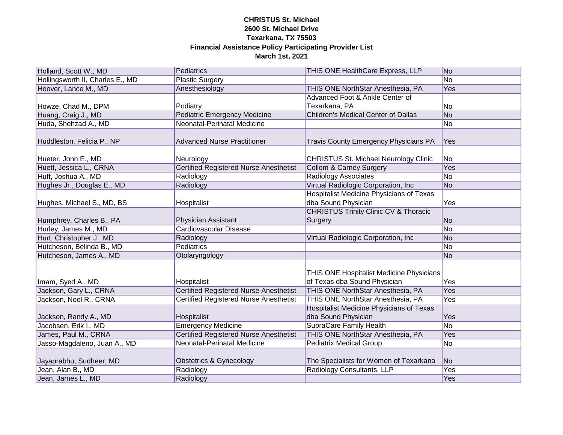| Holland, Scott W., MD            | Pediatrics                                    | THIS ONE HealthCare Express, LLP                                         | No  |
|----------------------------------|-----------------------------------------------|--------------------------------------------------------------------------|-----|
| Hollingsworth II, Charles E., MD | <b>Plastic Surgery</b>                        |                                                                          | No  |
| Hoover, Lance M., MD             | Anesthesiology                                | THIS ONE NorthStar Anesthesia, PA                                        | Yes |
|                                  |                                               | Advanced Foot & Ankle Center of                                          |     |
| Howze, Chad M., DPM              | Podiatry                                      | Texarkana, PA                                                            | No  |
| Huang, Craig J., MD              | <b>Pediatric Emergency Medicine</b>           | <b>Children's Medical Center of Dallas</b>                               | No  |
| Huda, Shehzad A., MD             | Neonatal-Perinatal Medicine                   |                                                                          | No  |
| Huddleston, Felicia P., NP       | <b>Advanced Nurse Practitioner</b>            | Travis County Emergency Physicians PA                                    | Yes |
|                                  |                                               |                                                                          |     |
| Hueter, John E., MD              | Neurology                                     | <b>CHRISTUS St. Michael Neurology Clinic</b>                             | No  |
| Huett, Jessica L., CRNA          | <b>Certified Registered Nurse Anesthetist</b> | <b>Collom &amp; Carney Surgery</b>                                       | Yes |
| Huff, Joshua A., MD              | Radiology                                     | <b>Radiology Associates</b>                                              | No  |
| Hughes Jr., Douglas E., MD       | Radiology                                     | Virtual Radiologic Corporation, Inc                                      | No  |
|                                  |                                               | <b>Hospitalist Medicine Physicians of Texas</b>                          |     |
| Hughes, Michael S., MD, BS       | Hospitalist                                   | dba Sound Physician                                                      | Yes |
|                                  |                                               | <b>CHRISTUS Trinity Clinic CV &amp; Thoracic</b>                         |     |
| Humphrey, Charles B., PA         | <b>Physician Assistant</b>                    | Surgery                                                                  | No  |
| Hurley, James M., MD             | Cardiovascular Disease                        |                                                                          | No  |
| Hurt, Christopher J., MD         | Radiology                                     | Virtual Radiologic Corporation, Inc.                                     | No  |
| Hutcheson, Belinda B., MD        | Pediatrics                                    |                                                                          | No  |
| Hutcheson, James A., MD          | Otolaryngology                                |                                                                          | No  |
| Imam, Syed A., MD                | Hospitalist                                   | THIS ONE Hospitalist Medicine Physicians<br>of Texas dba Sound Physician | Yes |
| Jackson, Gary L., CRNA           | <b>Certified Registered Nurse Anesthetist</b> | THIS ONE NorthStar Anesthesia, PA                                        | Yes |
| Jackson, Noel R., CRNA           | <b>Certified Registered Nurse Anesthetist</b> | THIS ONE NorthStar Anesthesia, PA                                        | Yes |
|                                  |                                               | Hospitalist Medicine Physicians of Texas                                 |     |
| Jackson, Randy A., MD            | Hospitalist                                   | dba Sound Physician                                                      | Yes |
| Jacobsen, Erik I., MD            | <b>Emergency Medicine</b>                     | <b>SupraCare Family Health</b>                                           | No  |
| James, Paul M., CRNA             | <b>Certified Registered Nurse Anesthetist</b> | THIS ONE NorthStar Anesthesia, PA                                        | Yes |
| Jasso-Magdaleno, Juan A., MD     | Neonatal-Perinatal Medicine                   | <b>Pediatrix Medical Group</b>                                           | No  |
|                                  |                                               |                                                                          |     |
| Jayaprabhu, Sudheer, MD          | <b>Obstetrics &amp; Gynecology</b>            | The Specialists for Women of Texarkana                                   | No  |
| Jean, Alan B., MD                | Radiology                                     | Radiology Consultants, LLP                                               | Yes |
| Jean, James L., MD               | Radiology                                     |                                                                          | Yes |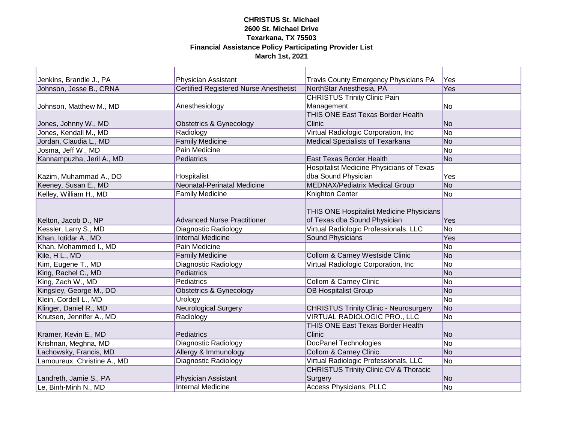#### **CHRISTUS St. Michael 2600 St. Michael Drive Texarkana, TX 75503 Financial Assistance Policy Participating Provider List March 1st, 2021** <u> 1989 - Johann Barn, mars eta bainar eta idazlea (</u>

| Jenkins, Brandie J., PA     | <b>Physician Assistant</b>                    | <b>Travis County Emergency Physicians PA</b>     | Yes       |
|-----------------------------|-----------------------------------------------|--------------------------------------------------|-----------|
| Johnson, Jesse B., CRNA     | <b>Certified Registered Nurse Anesthetist</b> | NorthStar Anesthesia, PA                         | Yes       |
|                             |                                               | <b>CHRISTUS Trinity Clinic Pain</b>              |           |
| Johnson, Matthew M., MD     | Anesthesiology                                | Management                                       | No        |
|                             |                                               | <b>THIS ONE East Texas Border Health</b>         |           |
| Jones, Johnny W., MD        | <b>Obstetrics &amp; Gynecology</b>            | Clinic                                           | No        |
| Jones, Kendall M., MD       | Radiology                                     | Virtual Radiologic Corporation, Inc.             | No        |
| Jordan, Claudia L., MD      | <b>Family Medicine</b>                        | <b>Medical Specialists of Texarkana</b>          | No        |
| Josma, Jeff W., MD          | Pain Medicine                                 |                                                  | No        |
| Kannampuzha, Jeril A., MD   | Pediatrics                                    | East Texas Border Health                         | No        |
|                             |                                               | <b>Hospitalist Medicine Physicians of Texas</b>  |           |
| Kazim, Muhammad A., DO      | Hospitalist                                   | dba Sound Physician                              | Yes       |
| Keeney, Susan E., MD        | <b>Neonatal-Perinatal Medicine</b>            | <b>MEDNAX/Pediatrix Medical Group</b>            | <b>No</b> |
| Kelley, William H., MD      | <b>Family Medicine</b>                        | Knighton Center                                  | No        |
|                             |                                               | THIS ONE Hospitalist Medicine Physicians         |           |
| Kelton, Jacob D., NP        | <b>Advanced Nurse Practitioner</b>            | of Texas dba Sound Physician                     | Yes       |
| Kessler, Larry S., MD       | Diagnostic Radiology                          | Virtual Radiologic Professionals, LLC            | No        |
| Khan, Iqtidar A., MD        | <b>Internal Medicine</b>                      | <b>Sound Physicians</b>                          | Yes       |
| Khan, Mohammed I., MD       | Pain Medicine                                 |                                                  | No        |
| Kile, H L., MD              | <b>Family Medicine</b>                        | Collom & Carney Westside Clinic                  | No        |
| Kim, Eugene T., MD          | Diagnostic Radiology                          | Virtual Radiologic Corporation, Inc.             | No        |
| King, Rachel C., MD         | <b>Pediatrics</b>                             |                                                  | No        |
| King, Zach W., MD           | Pediatrics                                    | <b>Collom &amp; Carney Clinic</b>                | No        |
| Kingsley, George M., DO     | <b>Obstetrics &amp; Gynecology</b>            | <b>OB Hospitalist Group</b>                      | No        |
| Klein, Cordell L., MD       | Urology                                       |                                                  | No        |
| Klinger, Daniel R., MD      | <b>Neurological Surgery</b>                   | <b>CHRISTUS Trinity Clinic - Neurosurgery</b>    | No        |
| Knutsen, Jennifer A., MD    | Radiology                                     | VIRTUAL RADIOLOGIC PRO., LLC                     | No        |
|                             |                                               | THIS ONE East Texas Border Health                |           |
| Kramer, Kevin E., MD        | Pediatrics                                    | Clinic                                           | No        |
| Krishnan, Meghna, MD        | <b>Diagnostic Radiology</b>                   | <b>DocPanel Technologies</b>                     | No        |
| Lachowsky, Francis, MD      | Allergy & Immunology                          | <b>Collom &amp; Carney Clinic</b>                | No        |
| Lamoureux, Christine A., MD | <b>Diagnostic Radiology</b>                   | Virtual Radiologic Professionals, LLC            | No        |
|                             |                                               | <b>CHRISTUS Trinity Clinic CV &amp; Thoracic</b> |           |
| Landreth, Jamie S., PA      | Physician Assistant                           | Surgery                                          | No        |
| Le, Binh-Minh N., MD        | <b>Internal Medicine</b>                      | <b>Access Physicians, PLLC</b>                   | No        |
|                             |                                               |                                                  |           |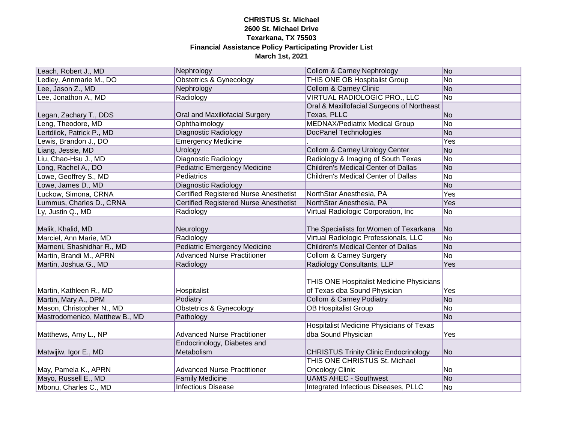| Leach, Robert J., MD           | Nephrology                                    | <b>Collom &amp; Carney Nephrology</b>                                    | No  |
|--------------------------------|-----------------------------------------------|--------------------------------------------------------------------------|-----|
| Ledley, Annmarie M., DO        | <b>Obstetrics &amp; Gynecology</b>            | <b>THIS ONE OB Hospitalist Group</b>                                     | No  |
| Lee, Jason Z., MD              | Nephrology                                    | <b>Collom &amp; Carney Clinic</b>                                        | No  |
| Lee, Jonathon A., MD           | Radiology                                     | <b>VIRTUAL RADIOLOGIC PRO., LLC</b>                                      | No  |
|                                |                                               | Oral & Maxillofacial Surgeons of Northeast                               |     |
| Legan, Zachary T., DDS         | Oral and Maxillofacial Surgery                | Texas, PLLC                                                              | No  |
| Leng, Theodore, MD             | Ophthalmology                                 | <b>MEDNAX/Pediatrix Medical Group</b>                                    | No  |
| Lertdilok, Patrick P., MD      | Diagnostic Radiology                          | DocPanel Technologies                                                    | No  |
| Lewis, Brandon J., DO          | <b>Emergency Medicine</b>                     |                                                                          | Yes |
| Liang, Jessie, MD              | Urology                                       | Collom & Carney Urology Center                                           | No  |
| Liu, Chao-Hsu J., MD           | Diagnostic Radiology                          | Radiology & Imaging of South Texas                                       | No  |
| Long, Rachel A., DO            | <b>Pediatric Emergency Medicine</b>           | Children's Medical Center of Dallas                                      | No  |
| Lowe, Geoffrey S., MD          | Pediatrics                                    | <b>Children's Medical Center of Dallas</b>                               | No  |
| Lowe, James D., MD             | <b>Diagnostic Radiology</b>                   |                                                                          | No  |
| Luckow, Simona, CRNA           | <b>Certified Registered Nurse Anesthetist</b> | NorthStar Anesthesia, PA                                                 | Yes |
| Lummus, Charles D., CRNA       | <b>Certified Registered Nurse Anesthetist</b> | NorthStar Anesthesia, PA                                                 | Yes |
| Ly, Justin Q., MD              | Radiology                                     | Virtual Radiologic Corporation, Inc                                      | No  |
| Malik, Khalid, MD              | Neurology                                     | The Specialists for Women of Texarkana                                   | No  |
| Marciel, Ann Marie, MD         | Radiology                                     | Virtual Radiologic Professionals, LLC                                    | No  |
| Marneni, Shashidhar R., MD     | <b>Pediatric Emergency Medicine</b>           | <b>Children's Medical Center of Dallas</b>                               | No  |
| Martin, Brandi M., APRN        | <b>Advanced Nurse Practitioner</b>            | <b>Collom &amp; Carney Surgery</b>                                       | No  |
| Martin, Joshua G., MD          | Radiology                                     | Radiology Consultants, LLP                                               | Yes |
| Martin, Kathleen R., MD        | Hospitalist                                   | THIS ONE Hospitalist Medicine Physicians<br>of Texas dba Sound Physician | Yes |
| Martin, Mary A., DPM           | Podiatry                                      | <b>Collom &amp; Carney Podiatry</b>                                      | No  |
| Mason, Christopher N., MD      | <b>Obstetrics &amp; Gynecology</b>            | <b>OB Hospitalist Group</b>                                              | No  |
| Mastrodomenico, Matthew B., MD | Pathology                                     |                                                                          | No  |
|                                |                                               | <b>Hospitalist Medicine Physicians of Texas</b>                          |     |
| Matthews, Amy L., NP           | <b>Advanced Nurse Practitioner</b>            | dba Sound Physician                                                      | Yes |
|                                | Endocrinology, Diabetes and                   |                                                                          |     |
| Matwijiw, Igor E., MD          | Metabolism                                    | <b>CHRISTUS Trinity Clinic Endocrinology</b>                             | No  |
|                                |                                               | THIS ONE CHRISTUS St. Michael                                            |     |
| May, Pamela K., APRN           | <b>Advanced Nurse Practitioner</b>            | <b>Oncology Clinic</b>                                                   | No  |
| Mayo, Russell E., MD           | <b>Family Medicine</b>                        | <b>UAMS AHEC - Southwest</b>                                             | No  |
| Mbonu, Charles C., MD          | <b>Infectious Disease</b>                     | Integrated Infectious Diseases, PLLC                                     | No  |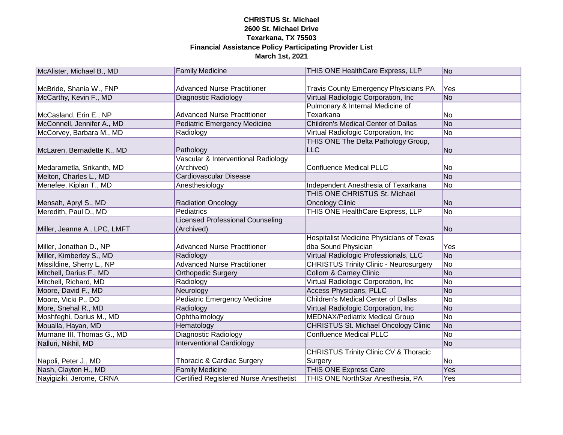| McAlister, Michael B., MD    | <b>Family Medicine</b>                        | THIS ONE HealthCare Express, LLP                 | No             |
|------------------------------|-----------------------------------------------|--------------------------------------------------|----------------|
|                              |                                               |                                                  |                |
| McBride, Shania W., FNP      | <b>Advanced Nurse Practitioner</b>            | <b>Travis County Emergency Physicians PA</b>     | Yes            |
| McCarthy, Kevin F., MD       | Diagnostic Radiology                          | Virtual Radiologic Corporation, Inc              | No             |
|                              |                                               | Pulmonary & Internal Medicine of                 |                |
| McCasland, Erin E., NP       | <b>Advanced Nurse Practitioner</b>            | Texarkana                                        | No             |
| McConnell, Jennifer A., MD   | <b>Pediatric Emergency Medicine</b>           | <b>Children's Medical Center of Dallas</b>       | No             |
| McCorvey, Barbara M., MD     | Radiology                                     | Virtual Radiologic Corporation, Inc              | No             |
|                              |                                               | THIS ONE The Delta Pathology Group,              |                |
| McLaren, Bernadette K., MD   | Pathology                                     | <b>LLC</b>                                       | No             |
|                              | Vascular & Interventional Radiology           |                                                  |                |
| Medarametla, Srikanth, MD    | (Archived)                                    | <b>Confluence Medical PLLC</b>                   | No             |
| Melton, Charles L., MD       | Cardiovascular Disease                        |                                                  | No             |
| Menefee, Kiplan T., MD       | Anesthesiology                                | Independent Anesthesia of Texarkana              | No             |
|                              |                                               | THIS ONE CHRISTUS St. Michael                    |                |
| Mensah, Apryl S., MD         | <b>Radiation Oncology</b>                     | <b>Oncology Clinic</b>                           | No             |
| Meredith, Paul D., MD        | <b>Pediatrics</b>                             | THIS ONE HealthCare Express, LLP                 | No             |
|                              | <b>Licensed Professional Counseling</b>       |                                                  |                |
| Miller, Jeanne A., LPC, LMFT | (Archived)                                    |                                                  | No             |
|                              |                                               | <b>Hospitalist Medicine Physicians of Texas</b>  |                |
| Miller, Jonathan D., NP      | <b>Advanced Nurse Practitioner</b>            | dba Sound Physician                              | Yes            |
| Miller, Kimberley S., MD     | Radiology                                     | Virtual Radiologic Professionals, LLC            | No             |
| Missildine, Sherry L., NP    | <b>Advanced Nurse Practitioner</b>            | <b>CHRISTUS Trinity Clinic - Neurosurgery</b>    | No             |
| Mitchell, Darius F., MD      | Orthopedic Surgery                            | <b>Collom &amp; Carney Clinic</b>                | No             |
| Mitchell, Richard, MD        | Radiology                                     | Virtual Radiologic Corporation, Inc              | No             |
| Moore, David F., MD          | Neurology                                     | <b>Access Physicians, PLLC</b>                   | No             |
| Moore, Vicki P., DO          | <b>Pediatric Emergency Medicine</b>           | <b>Children's Medical Center of Dallas</b>       | No             |
| More, Snehal R., MD          | Radiology                                     | Virtual Radiologic Corporation, Inc              | No             |
| Moshfeghi, Darius M., MD     | Ophthalmology                                 | <b>MEDNAX/Pediatrix Medical Group</b>            | No             |
| Moualla, Hayan, MD           | Hematology                                    | <b>CHRISTUS St. Michael Oncology Clinic</b>      | No             |
| Murnane III, Thomas G., MD   | Diagnostic Radiology                          | <b>Confluence Medical PLLC</b>                   | N <sub>o</sub> |
| Nalluri, Nikhil, MD          | <b>Interventional Cardiology</b>              |                                                  | No             |
|                              |                                               | <b>CHRISTUS Trinity Clinic CV &amp; Thoracic</b> |                |
| Napoli, Peter J., MD         | Thoracic & Cardiac Surgery                    | Surgery                                          | No             |
| Nash, Clayton H., MD         | <b>Family Medicine</b>                        | <b>THIS ONE Express Care</b>                     | Yes            |
| Nayigiziki, Jerome, CRNA     | <b>Certified Registered Nurse Anesthetist</b> | THIS ONE NorthStar Anesthesia, PA                | Yes            |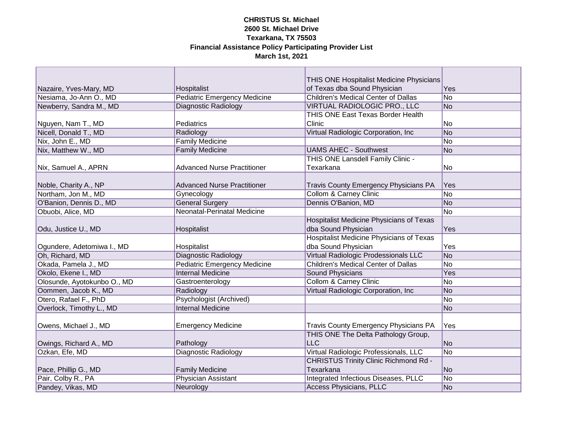|                             |                                     | THIS ONE Hospitalist Medicine Physicians        |                |
|-----------------------------|-------------------------------------|-------------------------------------------------|----------------|
| Nazaire, Yves-Mary, MD      | Hospitalist                         | of Texas dba Sound Physician                    | Yes            |
| Nesiama, Jo-Ann O., MD      | <b>Pediatric Emergency Medicine</b> | <b>Children's Medical Center of Dallas</b>      | No             |
| Newberry, Sandra M., MD     | <b>Diagnostic Radiology</b>         | VIRTUAL RADIOLOGIC PRO., LLC                    | N <sub>o</sub> |
|                             |                                     | THIS ONE East Texas Border Health               |                |
| Nguyen, Nam T., MD          | Pediatrics                          | Clinic                                          | No             |
| Nicell, Donald T., MD       | Radiology                           | Virtual Radiologic Corporation, Inc             | No             |
| Nix, John E., MD            | <b>Family Medicine</b>              |                                                 | No             |
| Nix, Matthew W., MD         | <b>Family Medicine</b>              | <b>UAMS AHEC - Southwest</b>                    | No             |
|                             |                                     | THIS ONE Lansdell Family Clinic -               |                |
| Nix, Samuel A., APRN        | <b>Advanced Nurse Practitioner</b>  | Texarkana                                       | No             |
|                             |                                     |                                                 |                |
| Noble, Charity A., NP       | <b>Advanced Nurse Practitioner</b>  | <b>Travis County Emergency Physicians PA</b>    | Yes            |
| Northam, Jon M., MD         | Gynecology                          | <b>Collom &amp; Carney Clinic</b>               | No             |
| O'Banion, Dennis D., MD     | <b>General Surgery</b>              | Dennis O'Banion, MD                             | N <sub>o</sub> |
| Obuobi, Alice, MD           | <b>Neonatal-Perinatal Medicine</b>  |                                                 | No             |
|                             |                                     | Hospitalist Medicine Physicians of Texas        |                |
| Odu, Justice U., MD         | Hospitalist                         | dba Sound Physician                             | Yes            |
|                             |                                     | <b>Hospitalist Medicine Physicians of Texas</b> |                |
| Ogundere, Adetomiwa I., MD  | Hospitalist                         | dba Sound Physician                             | Yes            |
| Oh, Richard, MD             | Diagnostic Radiology                | Virtual Radiologic Prodessionals LLC            | No             |
| Okada, Pamela J., MD        | <b>Pediatric Emergency Medicine</b> | <b>Children's Medical Center of Dallas</b>      | No             |
| Okolo, Ekene I., MD         | <b>Internal Medicine</b>            | <b>Sound Physicians</b>                         | Yes            |
| Olosunde, Ayotokunbo O., MD | Gastroenterology                    | <b>Collom &amp; Carney Clinic</b>               | No             |
| Oommen, Jacob K., MD        | Radiology                           | Virtual Radiologic Corporation, Inc             | No             |
| Otero, Rafael F., PhD       | <b>Psychologist (Archived)</b>      |                                                 | No             |
| Overlock, Timothy L., MD    | <b>Internal Medicine</b>            |                                                 | No             |
|                             |                                     |                                                 |                |
| Owens, Michael J., MD       | <b>Emergency Medicine</b>           | <b>Travis County Emergency Physicians PA</b>    | Yes            |
|                             |                                     | THIS ONE The Delta Pathology Group,             |                |
| Owings, Richard A., MD      | Pathology                           | <b>LLC</b>                                      | N <sub>o</sub> |
| Ozkan, Efe, MD              | Diagnostic Radiology                | Virtual Radiologic Professionals, LLC           | No             |
|                             |                                     | <b>CHRISTUS Trinity Clinic Richmond Rd -</b>    |                |
| Pace, Phillip G., MD        | <b>Family Medicine</b>              | Texarkana                                       | No             |
| Pair, Colby R., PA          | Physician Assistant                 | Integrated Infectious Diseases, PLLC            | No             |
| Pandey, Vikas, MD           | Neurology                           | <b>Access Physicians, PLLC</b>                  | No             |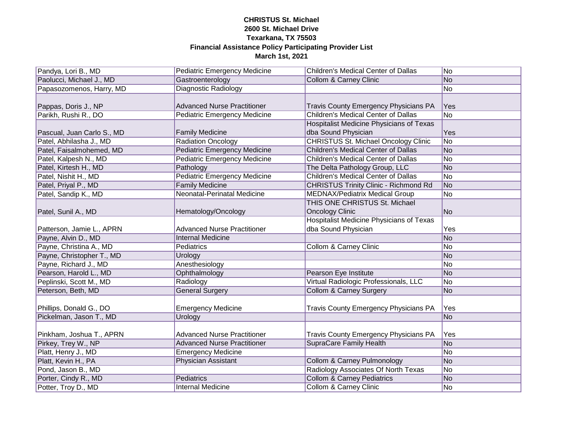| Pandya, Lori B., MD        | <b>Pediatric Emergency Medicine</b> | Children's Medical Center of Dallas             | N <sub>o</sub> |
|----------------------------|-------------------------------------|-------------------------------------------------|----------------|
| Paolucci, Michael J., MD   | Gastroenterology                    | <b>Collom &amp; Carney Clinic</b>               | No             |
| Papasozomenos, Harry, MD   | <b>Diagnostic Radiology</b>         |                                                 | No             |
|                            |                                     |                                                 |                |
| Pappas, Doris J., NP       | <b>Advanced Nurse Practitioner</b>  | <b>Travis County Emergency Physicians PA</b>    | Yes            |
| Parikh, Rushi R., DO       | <b>Pediatric Emergency Medicine</b> | Children's Medical Center of Dallas             | No             |
|                            |                                     | <b>Hospitalist Medicine Physicians of Texas</b> |                |
| Pascual, Juan Carlo S., MD | <b>Family Medicine</b>              | dba Sound Physician                             | Yes            |
| Patel, Abhilasha J., MD    | Radiation Oncology                  | <b>CHRISTUS St. Michael Oncology Clinic</b>     | No             |
| Patel, Faisalmohemed, MD   | Pediatric Emergency Medicine        | Children's Medical Center of Dallas             | No             |
| Patel, Kalpesh N., MD      | <b>Pediatric Emergency Medicine</b> | <b>Children's Medical Center of Dallas</b>      | No             |
| Patel, Kirtesh H., MD      | Pathology                           | The Delta Pathology Group, LLC                  | No             |
| Patel, Nishit H., MD       | <b>Pediatric Emergency Medicine</b> | <b>Children's Medical Center of Dallas</b>      | No             |
| Patel, Priyal P., MD       | <b>Family Medicine</b>              | <b>CHRISTUS Trinity Clinic - Richmond Rd</b>    | No             |
| Patel, Sandip K., MD       | <b>Neonatal-Perinatal Medicine</b>  | <b>MEDNAX/Pediatrix Medical Group</b>           | No             |
|                            |                                     | THIS ONE CHRISTUS St. Michael                   |                |
| Patel, Sunil A., MD        | Hematology/Oncology                 | <b>Oncology Clinic</b>                          | No             |
|                            |                                     | <b>Hospitalist Medicine Physicians of Texas</b> |                |
| Patterson, Jamie L., APRN  | <b>Advanced Nurse Practitioner</b>  | dba Sound Physician                             | Yes            |
| Payne, Alvin D., MD        | <b>Internal Medicine</b>            |                                                 | No             |
| Payne, Christina A., MD    | Pediatrics                          | Collom & Carney Clinic                          | No             |
| Payne, Christopher T., MD  | Urology                             |                                                 | No             |
| Payne, Richard J., MD      | Anesthesiology                      |                                                 | No             |
| Pearson, Harold L., MD     | Ophthalmology                       | Pearson Eye Institute                           | No             |
| Peplinski, Scott M., MD    | Radiology                           | Virtual Radiologic Professionals, LLC           | No             |
| Peterson, Beth, MD         | <b>General Surgery</b>              | <b>Collom &amp; Carney Surgery</b>              | No             |
|                            |                                     |                                                 |                |
| Phillips, Donald G., DO    | <b>Emergency Medicine</b>           | Travis County Emergency Physicians PA           | Yes            |
| Pickelman, Jason T., MD    | Urology                             |                                                 | No             |
|                            |                                     |                                                 |                |
| Pinkham, Joshua T., APRN   | <b>Advanced Nurse Practitioner</b>  | <b>Travis County Emergency Physicians PA</b>    | Yes            |
| Pirkey, Trey W., NP        | <b>Advanced Nurse Practitioner</b>  | <b>SupraCare Family Health</b>                  | No             |
| Platt, Henry J., MD        | <b>Emergency Medicine</b>           |                                                 | <b>No</b>      |
| Platt, Kevin H., PA        | Physician Assistant                 | <b>Collom &amp; Carney Pulmonology</b>          | <b>No</b>      |
| Pond, Jason B., MD         |                                     | Radiology Associates Of North Texas             | No             |
| Porter, Cindy R., MD       | Pediatrics                          | <b>Collom &amp; Carney Pediatrics</b>           | No             |
| Potter, Troy D., MD        | <b>Internal Medicine</b>            | <b>Collom &amp; Carney Clinic</b>               | N <sub>o</sub> |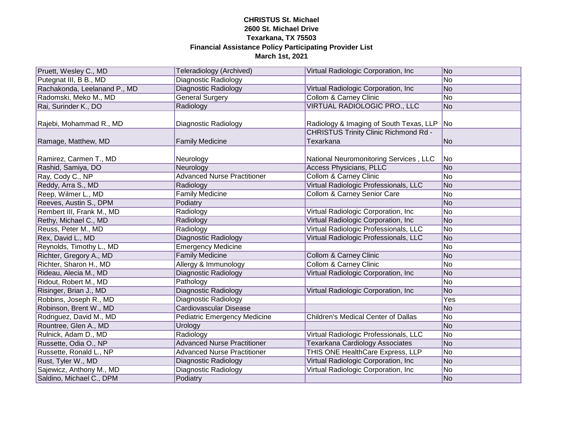| Pruett, Wesley C., MD        | Teleradiology (Archived)            | Virtual Radiologic Corporation, Inc.                      | No              |
|------------------------------|-------------------------------------|-----------------------------------------------------------|-----------------|
| Putegnat III, B B., MD       | <b>Diagnostic Radiology</b>         |                                                           | No              |
| Rachakonda, Leelanand P., MD | Diagnostic Radiology                | Virtual Radiologic Corporation, Inc                       | N <sub>o</sub>  |
| Radomski, Meko M., MD        | <b>General Surgery</b>              | <b>Collom &amp; Carney Clinic</b>                         | No              |
| Rai, Surinder K., DO         | Radiology                           | VIRTUAL RADIOLOGIC PRO., LLC                              | N <sub>o</sub>  |
| Rajebi, Mohammad R., MD      | Diagnostic Radiology                | Radiology & Imaging of South Texas, LLP                   | No              |
| Ramage, Matthew, MD          | <b>Family Medicine</b>              | <b>CHRISTUS Trinity Clinic Richmond Rd -</b><br>Texarkana | No              |
| Ramirez, Carmen T., MD       | Neurology                           | National Neuromonitoring Services, LLC                    | No              |
| Rashid, Samiya, DO           | Neurology                           | Access Physicians, PLLC                                   | N <sub>o</sub>  |
| Ray, Cody C., NP             | <b>Advanced Nurse Practitioner</b>  | <b>Collom &amp; Carney Clinic</b>                         | No              |
| Reddy, Arra S., MD           | Radiology                           | Virtual Radiologic Professionals, LLC                     | N <sub>o</sub>  |
| Reep, Wilmer L., MD          | <b>Family Medicine</b>              | <b>Collom &amp; Carney Senior Care</b>                    | N <sub>o</sub>  |
| Reeves, Austin S., DPM       | Podiatry                            |                                                           | No              |
| Rembert III, Frank M., MD    | Radiology                           | Virtual Radiologic Corporation, Inc                       | No              |
| Rethy, Michael C., MD        | Radiology                           | Virtual Radiologic Corporation, Inc                       | N <sub>o</sub>  |
| Reuss, Peter M., MD          | Radiology                           | Virtual Radiologic Professionals, LLC                     | N <sub>o</sub>  |
| Rex, David L., MD            | <b>Diagnostic Radiology</b>         | Virtual Radiologic Professionals, LLC                     | No              |
| Reynolds, Timothy L., MD     | Emergency Medicine                  |                                                           | No              |
| Richter, Gregory A., MD      | <b>Family Medicine</b>              | <b>Collom &amp; Carney Clinic</b>                         | No              |
| Richter, Sharon H., MD       | Allergy & Immunology                | <b>Collom &amp; Carney Clinic</b>                         | No              |
| Rideau, Alecia M., MD        | <b>Diagnostic Radiology</b>         | Virtual Radiologic Corporation, Inc.                      | N <sub>o</sub>  |
| Ridout, Robert M., MD        | Pathology                           |                                                           | N <sub>o</sub>  |
| Risinger, Brian J., MD       | <b>Diagnostic Radiology</b>         | Virtual Radiologic Corporation, Inc                       | No              |
| Robbins, Joseph R., MD       | Diagnostic Radiology                |                                                           | Yes             |
| Robinson, Brent W., MD       | <b>Cardiovascular Disease</b>       |                                                           | N <sub>o</sub>  |
| Rodriguez, David M., MD      | <b>Pediatric Emergency Medicine</b> | <b>Children's Medical Center of Dallas</b>                | $\overline{No}$ |
| Rountree, Glen A., MD        | Urology                             |                                                           | N <sub>o</sub>  |
| Rulnick, Adam D., MD         | Radiology                           | Virtual Radiologic Professionals, LLC                     | No              |
| Russette, Odia O., NP        | <b>Advanced Nurse Practitioner</b>  | Texarkana Cardiology Associates                           | N <sub>o</sub>  |
| Russette, Ronald L., NP      | <b>Advanced Nurse Practitioner</b>  | THIS ONE HealthCare Express, LLP                          | No.             |
| Rust, Tyler W., MD           | <b>Diagnostic Radiology</b>         | Virtual Radiologic Corporation, Inc                       | N <sub>o</sub>  |
| Sajewicz, Anthony M., MD     | <b>Diagnostic Radiology</b>         | Virtual Radiologic Corporation, Inc                       | No              |
| Saldino, Michael C., DPM     | Podiatry                            |                                                           | No              |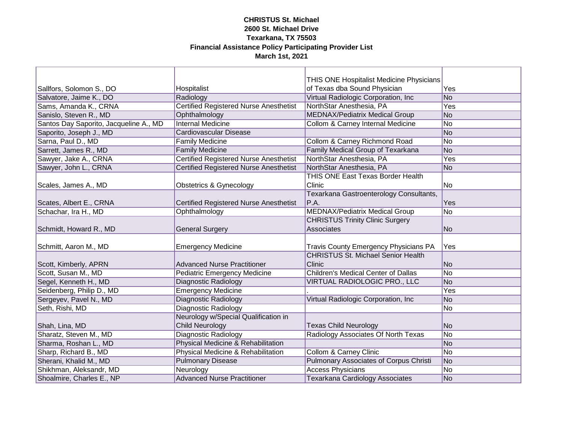|                                        |                                               | THIS ONE Hospitalist Medicine Physicians      |                |
|----------------------------------------|-----------------------------------------------|-----------------------------------------------|----------------|
| Sallfors, Solomon S., DO               | Hospitalist                                   | of Texas dba Sound Physician                  | Yes            |
| Salvatore, Jaime K., DO                | Radiology                                     | Virtual Radiologic Corporation, Inc           | N <sub>o</sub> |
| Sams, Amanda K., CRNA                  | <b>Certified Registered Nurse Anesthetist</b> | NorthStar Anesthesia, PA                      | Yes            |
| Sanislo, Steven R., MD                 | Ophthalmology                                 | <b>MEDNAX/Pediatrix Medical Group</b>         | No             |
| Santos Day Saporito, Jacqueline A., MD | <b>Internal Medicine</b>                      | Collom & Carney Internal Medicine             | No             |
| Saporito, Joseph J., MD                | Cardiovascular Disease                        |                                               | No             |
| Sarna, Paul D., MD                     | <b>Family Medicine</b>                        | Collom & Carney Richmond Road                 | No             |
| Sarrett, James R., MD                  | <b>Family Medicine</b>                        | Family Medical Group of Texarkana             | No             |
| Sawyer, Jake A., CRNA                  | <b>Certified Registered Nurse Anesthetist</b> | NorthStar Anesthesia, PA                      | Yes            |
| Sawyer, John L., CRNA                  | <b>Certified Registered Nurse Anesthetist</b> | NorthStar Anesthesia, PA                      | No             |
|                                        |                                               | THIS ONE East Texas Border Health             |                |
| Scales, James A., MD                   | <b>Obstetrics &amp; Gynecology</b>            | Clinic                                        | No             |
|                                        |                                               | Texarkana Gastroenterology Consultants,       |                |
| Scates, Albert E., CRNA                | <b>Certified Registered Nurse Anesthetist</b> | P.A.                                          | Yes            |
| Schachar, Ira H., MD                   | Ophthalmology                                 | <b>MEDNAX/Pediatrix Medical Group</b>         | No             |
|                                        |                                               | <b>CHRISTUS Trinity Clinic Surgery</b>        |                |
| Schmidt, Howard R., MD                 | <b>General Surgery</b>                        | Associates                                    | No             |
|                                        |                                               |                                               |                |
| Schmitt, Aaron M., MD                  | <b>Emergency Medicine</b>                     | <b>Travis County Emergency Physicians PA</b>  | Yes            |
|                                        |                                               | <b>CHRISTUS St. Michael Senior Health</b>     |                |
| Scott, Kimberly, APRN                  | <b>Advanced Nurse Practitioner</b>            | Clinic                                        | No             |
| Scott, Susan M., MD                    | <b>Pediatric Emergency Medicine</b>           | <b>Children's Medical Center of Dallas</b>    | No             |
| Segel, Kenneth H., MD                  | <b>Diagnostic Radiology</b>                   | VIRTUAL RADIOLOGIC PRO., LLC                  | No             |
| Seidenberg, Philip D., MD              | <b>Emergency Medicine</b>                     |                                               | Yes            |
| Sergeyev, Pavel N., MD                 | Diagnostic Radiology                          | Virtual Radiologic Corporation, Inc           | No             |
| Seth, Rishi, MD                        | Diagnostic Radiology                          |                                               | No             |
|                                        | Neurology w/Special Qualification in          |                                               |                |
| Shah, Lina, MD                         | <b>Child Neurology</b>                        | <b>Texas Child Neurology</b>                  | No             |
| Sharatz, Steven M., MD                 | <b>Diagnostic Radiology</b>                   | Radiology Associates Of North Texas           | No             |
| Sharma, Roshan L., MD                  | Physical Medicine & Rehabilitation            |                                               | No             |
| Sharp, Richard B., MD                  | Physical Medicine & Rehabilitation            | <b>Collom &amp; Carney Clinic</b>             | No             |
| Sherani, Khalid M., MD                 | <b>Pulmonary Disease</b>                      | <b>Pulmonary Associates of Corpus Christi</b> | No             |
| Shikhman, Aleksandr, MD                | Neurology                                     | <b>Access Physicians</b>                      | No             |
| Shoalmire, Charles E., NP              | <b>Advanced Nurse Practitioner</b>            | Texarkana Cardiology Associates               | No             |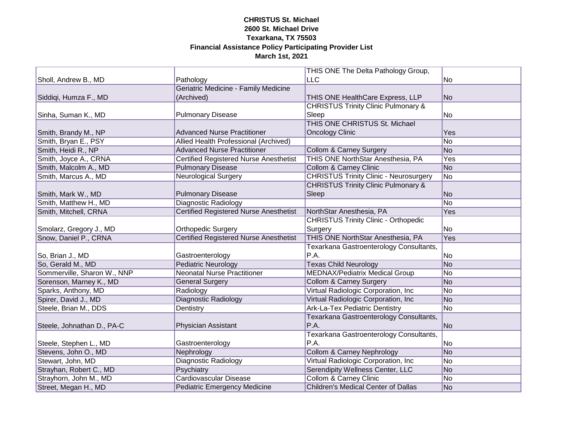|                             |                                               | THIS ONE The Delta Pathology Group,            |     |
|-----------------------------|-----------------------------------------------|------------------------------------------------|-----|
| Sholl, Andrew B., MD        | Pathology                                     | <b>LLC</b>                                     | No  |
|                             | Geriatric Medicine - Family Medicine          |                                                |     |
| Siddiqi, Humza F., MD       | (Archived)                                    | THIS ONE HealthCare Express, LLP               | No  |
|                             |                                               | <b>CHRISTUS Trinity Clinic Pulmonary &amp;</b> |     |
| Sinha, Suman K., MD         | <b>Pulmonary Disease</b>                      | Sleep                                          | No  |
|                             |                                               | THIS ONE CHRISTUS St. Michael                  |     |
| Smith, Brandy M., NP        | <b>Advanced Nurse Practitioner</b>            | <b>Oncology Clinic</b>                         | Yes |
| Smith, Bryan E., PSY        | Allied Health Professional (Archived)         |                                                | No  |
| Smith, Heidi R., NP         | <b>Advanced Nurse Practitioner</b>            | <b>Collom &amp; Carney Surgery</b>             | No  |
| Smith, Joyce A., CRNA       | <b>Certified Registered Nurse Anesthetist</b> | THIS ONE NorthStar Anesthesia, PA              | Yes |
| Smith, Malcolm A., MD       | <b>Pulmonary Disease</b>                      | <b>Collom &amp; Carney Clinic</b>              | No  |
| Smith, Marcus A., MD        | <b>Neurological Surgery</b>                   | <b>CHRISTUS Trinity Clinic - Neurosurgery</b>  | No  |
|                             |                                               | <b>CHRISTUS Trinity Clinic Pulmonary &amp;</b> |     |
| Smith, Mark W., MD          | <b>Pulmonary Disease</b>                      | Sleep                                          | No  |
| Smith, Matthew H., MD       | <b>Diagnostic Radiology</b>                   |                                                | No  |
| Smith, Mitchell, CRNA       | <b>Certified Registered Nurse Anesthetist</b> | NorthStar Anesthesia, PA                       | Yes |
|                             |                                               | <b>CHRISTUS Trinity Clinic - Orthopedic</b>    |     |
| Smolarz, Gregory J., MD     | <b>Orthopedic Surgery</b>                     | Surgery                                        | No  |
| Snow, Daniel P., CRNA       | <b>Certified Registered Nurse Anesthetist</b> | THIS ONE NorthStar Anesthesia, PA              | Yes |
|                             |                                               | Texarkana Gastroenterology Consultants,        |     |
| So, Brian J., MD            | Gastroenterology                              | P.A.                                           | No  |
| So, Gerald M., MD           | <b>Pediatric Neurology</b>                    | <b>Texas Child Neurology</b>                   | No  |
| Sommerville, Sharon W., NNP | <b>Neonatal Nurse Practitioner</b>            | <b>MEDNAX/Pediatrix Medical Group</b>          | No  |
| Sorenson, Marney K., MD     | <b>General Surgery</b>                        | <b>Collom &amp; Carney Surgery</b>             | No  |
| Sparks, Anthony, MD         | Radiology                                     | Virtual Radiologic Corporation, Inc            | No  |
| Spirer, David J., MD        | <b>Diagnostic Radiology</b>                   | Virtual Radiologic Corporation, Inc            | No  |
| Steele, Brian M., DDS       | Dentistry                                     | <b>Ark-La-Tex Pediatric Dentistry</b>          | No  |
|                             |                                               | Texarkana Gastroenterology Consultants,        |     |
| Steele, Johnathan D., PA-C  | Physician Assistant                           | P.A.                                           | No  |
|                             |                                               | Texarkana Gastroenterology Consultants,        |     |
| Steele, Stephen L., MD      | Gastroenterology                              | P.A.                                           | No  |
| Stevens, John O., MD        | Nephrology                                    | <b>Collom &amp; Carney Nephrology</b>          | No  |
| Stewart, John, MD           | Diagnostic Radiology                          | Virtual Radiologic Corporation, Inc            | No  |
| Strayhan, Robert C., MD     | Psychiatry                                    | <b>Serendipity Wellness Center, LLC</b>        | No  |
| Strayhorn, John M., MD      | Cardiovascular Disease                        | <b>Collom &amp; Carney Clinic</b>              | No  |
| Street, Megan H., MD        | Pediatric Emergency Medicine                  | <b>Children's Medical Center of Dallas</b>     | No  |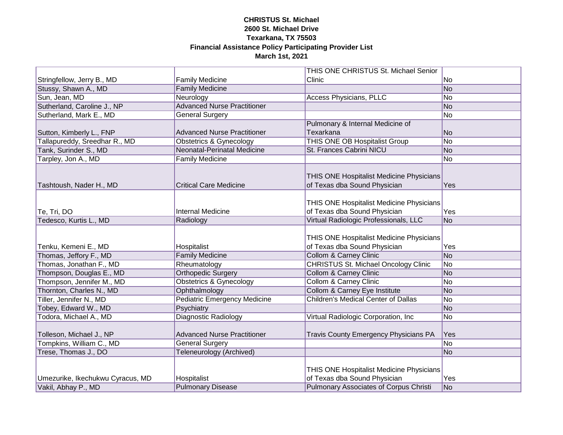|                                  |                                           | THIS ONE CHRISTUS St. Michael Senior                                     |                |
|----------------------------------|-------------------------------------------|--------------------------------------------------------------------------|----------------|
| Stringfellow, Jerry B., MD       | <b>Family Medicine</b>                    | Clinic                                                                   | No             |
| Stussy, Shawn A., MD             | <b>Family Medicine</b>                    |                                                                          | No             |
| Sun, Jean, MD                    | Neurology                                 | <b>Access Physicians, PLLC</b>                                           | No             |
| Sutherland, Caroline J., NP      | <b>Advanced Nurse Practitioner</b>        |                                                                          | No             |
| Sutherland, Mark E., MD          | <b>General Surgery</b>                    |                                                                          | No             |
|                                  |                                           | Pulmonary & Internal Medicine of                                         |                |
| Sutton, Kimberly L., FNP         | <b>Advanced Nurse Practitioner</b>        | Texarkana                                                                | No             |
| Tallapureddy, Sreedhar R., MD    | <b>Obstetrics &amp; Gynecology</b>        | THIS ONE OB Hospitalist Group                                            | No             |
| Tank, Surinder S., MD            | Neonatal-Perinatal Medicine               | St. Frances Cabrini NICU                                                 | No             |
| Tarpley, Jon A., MD              | <b>Family Medicine</b>                    |                                                                          | N <sub>o</sub> |
| Tashtoush, Nader H., MD          | <b>Critical Care Medicine</b>             | THIS ONE Hospitalist Medicine Physicians<br>of Texas dba Sound Physician | Yes            |
| Te, Tri, DO                      | <b>Internal Medicine</b>                  | THIS ONE Hospitalist Medicine Physicians<br>of Texas dba Sound Physician | Yes            |
| Tedesco, Kurtis L., MD           | Radiology                                 | Virtual Radiologic Professionals, LLC                                    | No             |
| Tenku, Kemeni E., MD             | Hospitalist                               | THIS ONE Hospitalist Medicine Physicians<br>of Texas dba Sound Physician | Yes            |
| Thomas, Jeffory F., MD           | <b>Family Medicine</b>                    | <b>Collom &amp; Carney Clinic</b>                                        | No             |
| Thomas, Jonathan F., MD          | Rheumatology                              | <b>CHRISTUS St. Michael Oncology Clinic</b>                              | No             |
| Thompson, Douglas E., MD         | <b>Orthopedic Surgery</b>                 | <b>Collom &amp; Carney Clinic</b>                                        | No             |
| Thompson, Jennifer M., MD        | <b>Obstetrics &amp; Gynecology</b>        | <b>Collom &amp; Carney Clinic</b>                                        | No             |
| Thornton, Charles N., MD         | Ophthalmology                             | Collom & Carney Eye Institute                                            | No             |
| Tiller, Jennifer N., MD          | <b>Pediatric Emergency Medicine</b>       | <b>Children's Medical Center of Dallas</b>                               | No             |
| Tobey, Edward W., MD             | Psychiatry<br><b>Diagnostic Radiology</b> | Virtual Radiologic Corporation, Inc                                      | No             |
| Todora, Michael A., MD           |                                           |                                                                          | N <sub>o</sub> |
| Tolleson, Michael J., NP         | <b>Advanced Nurse Practitioner</b>        | <b>Travis County Emergency Physicians PA</b>                             | <b>Yes</b>     |
| Tompkins, William C., MD         | <b>General Surgery</b>                    |                                                                          | N <sub>o</sub> |
| Trese, Thomas J., DO             | <b>Teleneurology (Archived)</b>           |                                                                          | N <sub>o</sub> |
| Umezurike, Ikechukwu Cyracus, MD | Hospitalist                               | THIS ONE Hospitalist Medicine Physicians<br>of Texas dba Sound Physician | Yes            |
| Vakil, Abhay P., MD              | <b>Pulmonary Disease</b>                  | Pulmonary Associates of Corpus Christi                                   | N <sub>o</sub> |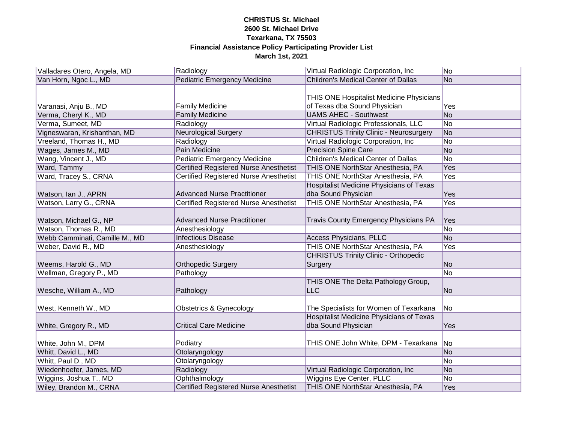| Valladares Otero, Angela, MD   | Radiology                                     | Virtual Radiologic Corporation, Inc             | No  |
|--------------------------------|-----------------------------------------------|-------------------------------------------------|-----|
| Van Horn, Ngoc L., MD          | <b>Pediatric Emergency Medicine</b>           | <b>Children's Medical Center of Dallas</b>      | No  |
|                                |                                               |                                                 |     |
|                                |                                               | THIS ONE Hospitalist Medicine Physicians        |     |
| Varanasi, Anju B., MD          | <b>Family Medicine</b>                        | of Texas dba Sound Physician                    | Yes |
| Verma, Cheryl K., MD           | <b>Family Medicine</b>                        | <b>UAMS AHEC - Southwest</b>                    | No  |
| Verma, Sumeet, MD              | Radiology                                     | Virtual Radiologic Professionals, LLC           | No  |
| Vigneswaran, Krishanthan, MD   | <b>Neurological Surgery</b>                   | <b>CHRISTUS Trinity Clinic - Neurosurgery</b>   | No  |
| Vreeland, Thomas H., MD        | Radiology                                     | Virtual Radiologic Corporation, Inc.            | No  |
| Wages, James M., MD            | Pain Medicine                                 | <b>Precision Spine Care</b>                     | No  |
| Wang, Vincent J., MD           | <b>Pediatric Emergency Medicine</b>           | Children's Medical Center of Dallas             | No  |
| Ward, Tammy                    | <b>Certified Registered Nurse Anesthetist</b> | THIS ONE NorthStar Anesthesia, PA               | Yes |
| Ward, Tracey S., CRNA          | <b>Certified Registered Nurse Anesthetist</b> | THIS ONE NorthStar Anesthesia, PA               | Yes |
|                                |                                               | Hospitalist Medicine Physicians of Texas        |     |
| Watson, Ian J., APRN           | <b>Advanced Nurse Practitioner</b>            | dba Sound Physician                             | Yes |
| Watson, Larry G., CRNA         | <b>Certified Registered Nurse Anesthetist</b> | THIS ONE NorthStar Anesthesia, PA               | Yes |
|                                |                                               |                                                 |     |
| Watson, Michael G., NP         | <b>Advanced Nurse Practitioner</b>            | <b>Travis County Emergency Physicians PA</b>    | Yes |
| Watson, Thomas R., MD          | Anesthesiology                                |                                                 | No  |
| Webb Camminati, Camille M., MD | <b>Infectious Disease</b>                     | <b>Access Physicians, PLLC</b>                  | No  |
| Weber, David R., MD            | Anesthesiology                                | THIS ONE NorthStar Anesthesia, PA               | Yes |
|                                |                                               | <b>CHRISTUS Trinity Clinic - Orthopedic</b>     |     |
| Weems, Harold G., MD           | <b>Orthopedic Surgery</b>                     | Surgery                                         | No  |
| Wellman, Gregory P., MD        | Pathology                                     |                                                 | No  |
|                                |                                               | THIS ONE The Delta Pathology Group,             |     |
| Wesche, William A., MD         | Pathology                                     | <b>LLC</b>                                      | No  |
|                                |                                               |                                                 |     |
| West, Kenneth W., MD           | <b>Obstetrics &amp; Gynecology</b>            | The Specialists for Women of Texarkana          | No  |
|                                |                                               | <b>Hospitalist Medicine Physicians of Texas</b> |     |
| White, Gregory R., MD          | <b>Critical Care Medicine</b>                 | dba Sound Physician                             | Yes |
|                                |                                               |                                                 |     |
| White, John M., DPM            | Podiatry                                      | THIS ONE John White, DPM - Texarkana            | No  |
| Whitt, David L., MD            | Otolaryngology                                |                                                 | No  |
| Whitt, Paul D., MD             | Otolaryngology                                |                                                 | No  |
| Wiedenhoefer, James, MD        | Radiology                                     | Virtual Radiologic Corporation, Inc             | No  |
| Wiggins, Joshua T., MD         | Ophthalmology                                 | <b>Wiggins Eye Center, PLLC</b>                 | No  |
| Wiley, Brandon M., CRNA        | Certified Registered Nurse Anesthetist        | THIS ONE NorthStar Anesthesia, PA               | Yes |
|                                |                                               |                                                 |     |